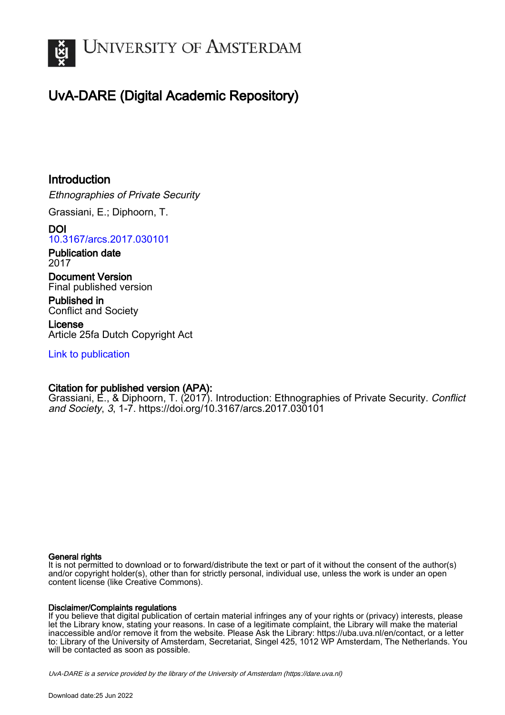

## UvA-DARE (Digital Academic Repository)

## Introduction

Ethnographies of Private Security

Grassiani, E.; Diphoorn, T.

DOI [10.3167/arcs.2017.030101](https://doi.org/10.3167/arcs.2017.030101)

Publication date 2017

Document Version Final published version

Published in Conflict and Society

License Article 25fa Dutch Copyright Act

[Link to publication](https://dare.uva.nl/personal/pure/en/publications/introduction(da5fdc77-168f-4c01-9f0e-116b5f4a19b1).html)

### Citation for published version (APA):

Grassiani, E., & Diphoorn, T. (2017). Introduction: Ethnographies of Private Security. Conflict and Society, 3, 1-7. <https://doi.org/10.3167/arcs.2017.030101>

#### General rights

It is not permitted to download or to forward/distribute the text or part of it without the consent of the author(s) and/or copyright holder(s), other than for strictly personal, individual use, unless the work is under an open content license (like Creative Commons).

#### Disclaimer/Complaints regulations

If you believe that digital publication of certain material infringes any of your rights or (privacy) interests, please let the Library know, stating your reasons. In case of a legitimate complaint, the Library will make the material inaccessible and/or remove it from the website. Please Ask the Library: https://uba.uva.nl/en/contact, or a letter to: Library of the University of Amsterdam, Secretariat, Singel 425, 1012 WP Amsterdam, The Netherlands. You will be contacted as soon as possible.

UvA-DARE is a service provided by the library of the University of Amsterdam (http*s*://dare.uva.nl)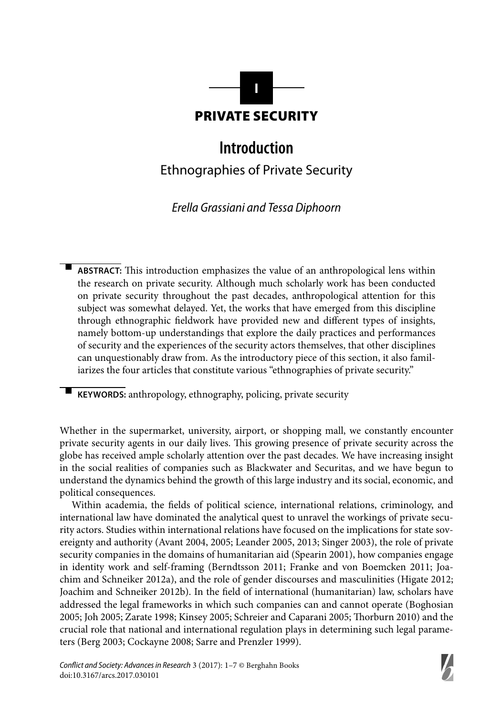

# **Introduction**

Ethnographies of Private Security

Erella Grassiani and Tessa Diphoorn

-ABSTRACT: This introduction emphasizes the value of an anthropological lens within the research on private security. Although much scholarly work has been conducted on private security throughout the past decades, anthropological attention for this subject was somewhat delayed. Yet, the works that have emerged from this discipline through ethnographic fieldwork have provided new and different types of insights, namely bottom-up understandings that explore the daily practices and performances of security and the experiences of the security actors themselves, that other disciplines can unquestionably draw from. As the introductory piece of this section, it also familiarizes the four articles that constitute various "ethnographies of private security."

**KEYWORDS:** anthropology, ethnography, policing, private security

-

Whether in the supermarket, university, airport, or shopping mall, we constantly encounter private security agents in our daily lives. This growing presence of private security across the globe has received ample scholarly attention over the past decades. We have increasing insight in the social realities of companies such as Blackwater and Securitas, and we have begun to understand the dynamics behind the growth of this large industry and its social, economic, and political consequences.

Within academia, the fields of political science, international relations, criminology, and international law have dominated the analytical quest to unravel the workings of private security actors. Studies within international relations have focused on the implications for state sovereignty and authority (Avant 2004, 2005; Leander 2005, 2013; Singer 2003), the role of private security companies in the domains of humanitarian aid (Spearin 2001), how companies engage in identity work and self-framing (Berndtsson 2011; Franke and von Boemcken 2011; Joachim and Schneiker 2012a), and the role of gender discourses and masculinities (Higate 2012; Joachim and Schneiker 2012b). In the field of international (humanitarian) law, scholars have addressed the legal frameworks in which such companies can and cannot operate (Boghosian 2005; Joh 2005; Zarate 1998; Kinsey 2005; Schreier and Caparani 2005; Thorburn 2010) and the crucial role that national and international regulation plays in determining such legal parameters (Berg 2003; Cockayne 2008; Sarre and Prenzler 1999).

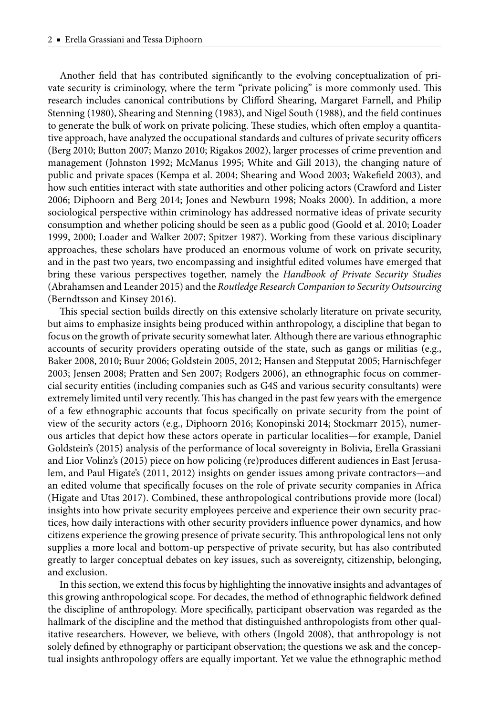Another field that has contributed significantly to the evolving conceptualization of private security is criminology, where the term "private policing" is more commonly used. This research includes canonical contributions by Clifford Shearing, Margaret Farnell, and Philip Stenning (1980), Shearing and Stenning (1983), and Nigel South (1988), and the field continues to generate the bulk of work on private policing. These studies, which often employ a quantitative approach, have analyzed the occupational standards and cultures of private security officers (Berg 2010; Button 2007; Manzo 2010; Rigakos 2002), larger processes of crime prevention and management (Johnston 1992; McManus 1995; White and Gill 2013), the changing nature of public and private spaces (Kempa et al. 2004; Shearing and Wood 2003; Wakefield 2003), and how such entities interact with state authorities and other policing actors (Crawford and Lister 2006; Diphoorn and Berg 2014; Jones and Newburn 1998; Noaks 2000). In addition, a more sociological perspective within criminology has addressed normative ideas of private security consumption and whether policing should be seen as a public good (Goold et al. 2010; Loader 1999, 2000; Loader and Walker 2007; Spitzer 1987). Working from these various disciplinary approaches, these scholars have produced an enormous volume of work on private security, and in the past two years, two encompassing and insightful edited volumes have emerged that bring these various perspectives together, namely the *Handbook of Private Security Studies* (Abraham sen and Leander 2015) and the *Routledge Research Companion to Security Outsourcing* (Berndtsson and Kinsey 2016).

This special section builds directly on this extensive scholarly literature on private security, but aims to emphasize insights being produced within anthropology, a discipline that began to focus on the growth of private security somewhat later. Although there are various ethnographic accounts of security providers operating outside of the state, such as gangs or militias (e.g., Baker 2008, 2010; Buur 2006; Goldstein 2005, 2012; Hansen and Stepputat 2005; Harnisch feger 2003; Jensen 2008; Pratten and Sen 2007; Rodgers 2006), an ethnographic focus on commercial security entities (including companies such as G4S and various security consultants) were extremely limited until very recently. This has changed in the past few years with the emergence of a few ethnographic accounts that focus specifically on private security from the point of view of the security actors (e.g., Diphoorn 2016; Konopinski 2014; Stockmarr 2015), numerous articles that depict how these actors operate in particular localities—for example, Daniel Goldstein's (2015) analysis of the performance of local sovereignty in Bolivia, Erella Grassiani and Lior Volinz's (2015) piece on how policing (re)produces different audiences in East Jerusalem, and Paul Higate's (2011, 2012) insights on gender issues among private contractors—and an edited volume that specifically focuses on the role of private security companies in Africa (Higate and Utas 2017). Combined, these anthropological contributions provide more (local) insights into how private security employees perceive and experience their own security practices, how daily interactions with other security providers influence power dynamics, and how citizens experience the growing presence of private security. This anthropological lens not only supplies a more local and bottom-up perspective of private security, but has also contributed greatly to larger conceptual debates on key issues, such as sovereignty, citizenship, belonging, and exclusion.

In this section, we extend this focus by highlighting the innovative insights and advantages of this growing anthropological scope. For decades, the method of ethnographic fieldwork defined the discipline of anthropology. More specifically, participant observation was regarded as the hallmark of the discipline and the method that distinguished anthropologists from other qualitative researchers. However, we believe, with others (Ingold 2008), that anthropology is not solely defined by ethnography or participant observation; the questions we ask and the conceptual insights anthropology offers are equally important. Yet we value the ethnographic method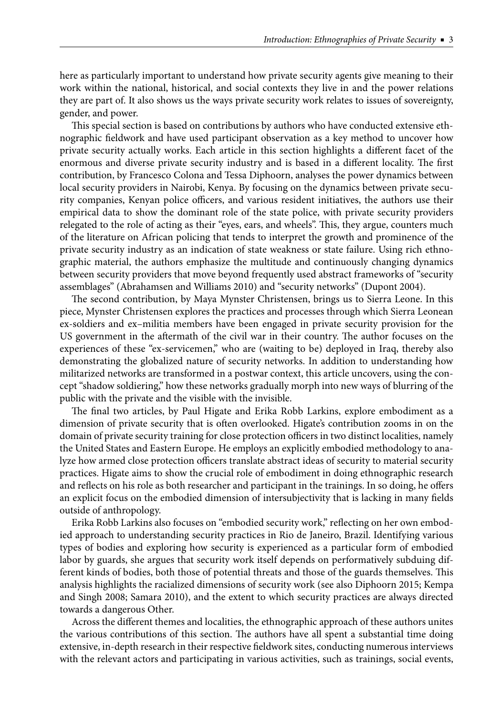here as particularly important to understand how private security agents give meaning to their work within the national, historical, and social contexts they live in and the power relations they are part of. It also shows us the ways private security work relates to issues of sovereignty, gender, and power.

This special section is based on contributions by authors who have conducted extensive ethnographic fieldwork and have used participant observation as a key method to uncover how private security actually works. Each article in this section highlights a different facet of the enormous and diverse private security industry and is based in a different locality. The first contribution, by Francesco Colona and Tessa Diphoorn, analyses the power dynamics between local security providers in Nairobi, Kenya. By focusing on the dynamics between private security companies, Kenyan police officers, and various resident initiatives, the authors use their empirical data to show the dominant role of the state police, with private security providers relegated to the role of acting as their "eyes, ears, and wheels". This, they argue, counters much of the literature on African policing that tends to interpret the growth and prominence of the private security industry as an indication of state weakness or state failure. Using rich ethnographic material, the authors emphasize the multitude and continuously changing dynamics between security providers that move beyond frequently used abstract frameworks of "security assemblages" (Abrahamsen and Williams 2010) and "security networks" (Dupont 2004).

The second contribution, by Maya Mynster Christensen, brings us to Sierra Leone. In this piece, Mynster Christensen explores the practices and processes through which Sierra Leonean ex-soldiers and ex–militia members have been engaged in private security provision for the US government in the aftermath of the civil war in their country. The author focuses on the experiences of these "ex-servicemen," who are (waiting to be) deployed in Iraq, thereby also demonstrating the globalized nature of security networks. In addition to understanding how militarized networks are transformed in a postwar context, this article uncovers, using the concept "shadow soldiering," how these networks gradually morph into new ways of blurring of the public with the private and the visible with the invisible.

The final two articles, by Paul Higate and Erika Robb Larkins, explore embodiment as a dimension of private security that is often overlooked. Higate's contribution zooms in on the domain of private security training for close protection officers in two distinct localities, namely the United States and Eastern Europe. He employs an explicitly embodied methodology to analyze how armed close protection officers translate abstract ideas of security to material security practices. Higate aims to show the crucial role of embodiment in doing ethnographic research and reflects on his role as both researcher and participant in the trainings. In so doing, he offers an explicit focus on the embodied dimension of intersubjectivity that is lacking in many fields outside of anthropology.

Erika Robb Larkins also focuses on "embodied security work," reflecting on her own embodied approach to understanding security practices in Rio de Janeiro, Brazil. Identifying various types of bodies and exploring how security is experienced as a particular form of embodied labor by guards, she argues that security work itself depends on performatively subduing different kinds of bodies, both those of potential threats and those of the guards themselves. This analysis highlights the racialized dimensions of security work (see also Diphoorn 2015; Kempa and Singh 2008; Samara 2010), and the extent to which security practices are always directed towards a dangerous Other.

Across the different themes and localities, the ethnographic approach of these authors unites the various contributions of this section. The authors have all spent a substantial time doing extensive, in-depth research in their respective fieldwork sites, conducting numerous interviews with the relevant actors and participating in various activities, such as trainings, social events,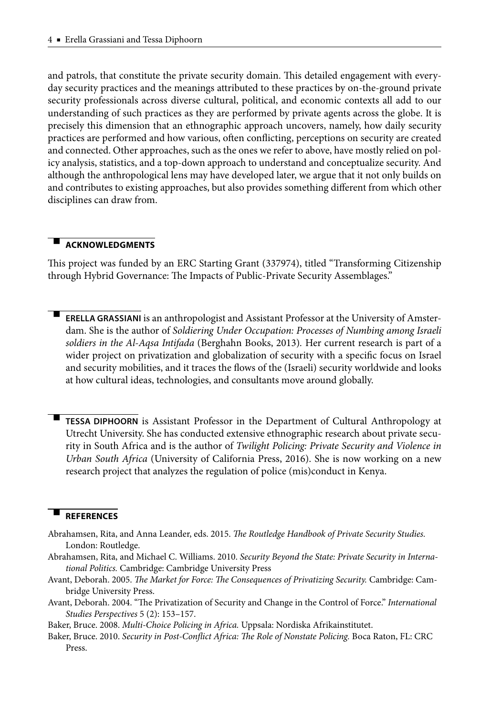and patrols, that constitute the private security domain. This detailed engagement with everyday security practices and the meanings attributed to these practices by on-the-ground private security professionals across diverse cultural, political, and economic contexts all add to our understanding of such practices as they are performed by private agents across the globe. It is precisely this dimension that an ethnographic approach uncovers, namely, how daily security practices are performed and how various, often conflicting, perceptions on security are created and connected. Other approaches, such as the ones we refer to above, have mostly relied on policy analysis, statistics, and a top-down approach to understand and conceptualize security. And although the anthropological lens may have developed later, we argue that it not only builds on and contributes to existing approaches, but also provides something different from which other disciplines can draw from.

#### - **ACKNOWLEDGMENTS**

This project was funded by an ERC Starting Grant (337974), titled "Transforming Citizenship through Hybrid Governance: The Impacts of Public-Private Security Assemblages."

- **ERELLA GRASSIANI** is an anthropologist and Assistant Professor at the University of Amsterdam. She is the author of *Soldiering Under Occupation: Processes of Numbing among Israeli soldiers in the Al-Aqsa Intifada* (Berghahn Books, 2013)*.* Her current research is part of a wider project on privatization and globalization of security with a specific focus on Israel and security mobilities, and it traces the flows of the (Israeli) security worldwide and looks at how cultural ideas, technologies, and consultants move around globally.

 **TESSA DIPHOORN** is Assistant Professor in the Department of Cultural Anthropology at Utrecht University. She has conducted extensive ethnographic research about private security in South Africa and is the author of *Twilight Policing: Private Security and Violence in Urban South Africa* (University of California Press, 2016). She is now working on a new research project that analyzes the regulation of police (mis)conduct in Kenya.

#### - **REFERENCES**

-

Abrahamsen, Rita, and Anna Leander, eds. 2015. *The Routledge Handbook of Private Security Studies*. London: Routledge.

- Abrahamsen, Rita, and Michael C. Williams. 2010. *Security Beyond the State: Private Security in International Politics.* Cambridge: Cambridge University Press
- Avant, Deborah. 2005. *The Market for Force: The Consequences of Privatizing Security*. Cambridge: Cambridge University Press.
- Avant, Deborah. 2004. "The Privatization of Security and Change in the Control of Force." *International Studies Perspectives* 5 (2): 153–157.

Baker, Bruce. 2008. *Multi-Choice Policing in Africa.* Uppsala: Nordiska Afrikainstitutet.

Baker, Bruce. 2010. Security in Post-Conflict Africa: The Role of Nonstate Policing. Boca Raton, FL: CRC Press.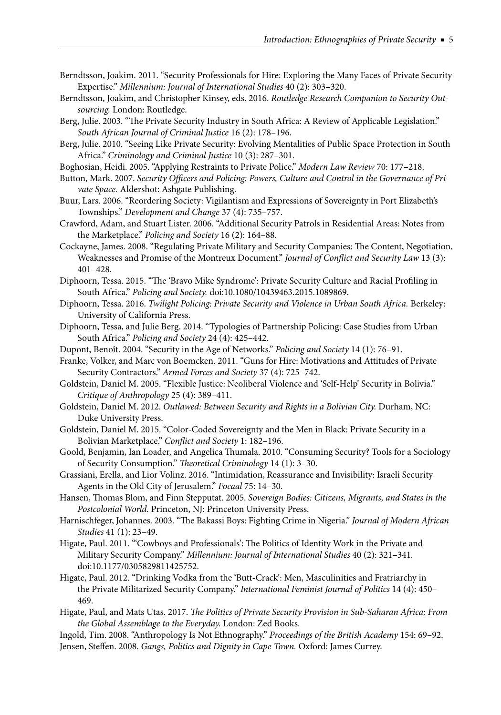- Berndtsson, Joakim. 2011. "Security Professionals for Hire: Exploring the Many Faces of Private Security Expertise." *Millennium: Journal of International Studies* 40 (2): 303–320.
- Berndtsson, Joakim, and Christopher Kinsey, eds. 2016. *Routledge Research Companion to Security Outsourcing.* London: Routledge.
- Berg, Julie. 2003. "The Private Security Industry in South Africa: A Review of Applicable Legislation." *South African Journal of Criminal Justice* 16 (2): 178–196.
- Berg, Julie. 2010. "Seeing Like Private Security: Evolving Mentalities of Public Space Protection in South Africa." *Criminology and Criminal Justice* 10 (3): 287–301.
- Boghosian, Heidi. 2005. "Applying Restraints to Private Police." *Modern Law Review* 70: 177–218.
- Button, Mark. 2007. Security Officers and Policing: Powers, Culture and Control in the Governance of Pri*vate Space.* Aldershot: Ashgate Publishing.
- Buur, Lars. 2006. "Reordering Society: Vigilantism and Expressions of Sovereignty in Port Elizabeth's Townships." *Development and Change* 37 (4): 735–757.
- Crawford, Adam, and Stuart Lister. 2006. "Additional Security Patrols in Residential Areas: Notes from the Marketplace." *Policing and Society* 16 (2): 164–88.
- Cockayne, James. 2008. "Regulating Private Military and Security Companies: The Content, Negotiation, Weaknesses and Promise of the Montreux Document." *Journal of Conflict and Security Law* 13 (3): 401–428.
- Diphoorn, Tessa. 2015. "The 'Bravo Mike Syndrome': Private Security Culture and Racial Profiling in South Africa." *Policing and Society.* doi:10.1080/10439463.2015.1089869.
- Diphoorn, Tessa. 2016. *Twilight Policing: Private Security and Violence in Urban South Africa.* Berkeley: University of California Press.
- Diphoorn, Tessa, and Julie Berg. 2014. "Typologies of Partnership Policing: Case Studies from Urban South Africa." *Policing and Society* 24 (4): 425–442.
- Dupont, Benoît. 2004. "Security in the Age of Networks." *Policing and Society* 14 (1): 76–91.
- Franke, Volker, and Marc von Boemcken. 2011. "Guns for Hire: Motivations and Attitudes of Private Security Contractors." *Armed Forces and Society* 37 (4): 725–742.
- Goldstein, Daniel M. 2005. "Flexible Justice: Neoliberal Violence and 'Self-Help' Security in Bolivia." *Critique of Anthropology* 25 (4): 389–411.
- Goldstein, Daniel M. 2012. *Outlawed: Between Security and Rights in a Bolivian City.* Durham, NC: Duke University Press.
- Goldstein, Daniel M. 2015. "Color-Coded Sovereignty and the Men in Black: Private Security in a Bolivian Marketplace." *Conflict and Society* 1: 182-196.
- Goold, Benjamin, Ian Loader, and Angelica Thumala. 2010. "Consuming Security? Tools for a Sociology of Security Consumption." *Theoretical Criminology* 14 (1): 3-30.
- Grassiani, Erella, and Lior Volinz. 2016. "Intimidation, Reassurance and Invisibility: Israeli Security Agents in the Old City of Jerusalem." *Focaal* 75: 14–30.
- Hansen, Thomas Blom, and Finn Stepputat. 2005. Sovereign Bodies: Citizens, Migrants, and States in the *Postcolonial World.* Princeton, NJ: Princeton University Press.
- Harnischfeger, Johannes. 2003. "The Bakassi Boys: Fighting Crime in Nigeria." *Journal of Modern African Studies* 41 (1): 23–49.
- Higate, Paul. 2011. "'Cowboys and Professionals': The Politics of Identity Work in the Private and Military Security Company." *Millennium: Journal of International Studies* 40 (2): 321–341*.*  doi:10.1177/0305829811425752.
- Higate, Paul. 2012. "Drinking Vodka from the 'Butt-Crack': Men, Masculinities and Fratriarchy in the Private Militarized Security Company." *International Feminist Journal of Politics* 14 (4): 450– 469.
- Higate, Paul, and Mats Utas. 2017. *The Politics of Private Security Provision in Sub-Saharan Africa: From the Global Assemblage to the Everyday.* London: Zed Books.
- Ingold, Tim. 2008. "Anthropology Is Not Ethnography." *Proceedings of the British Academy* 154: 69–92. Jensen, Steffen. 2008. *Gangs, Politics and Dignity in Cape Town*. Oxford: James Currey.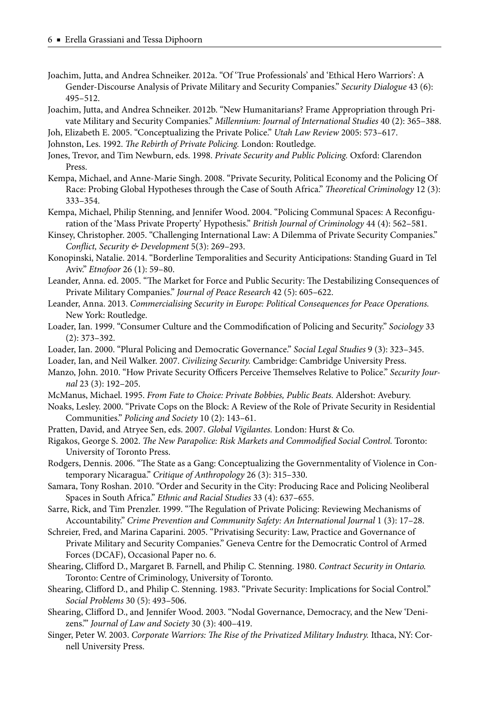- Joachim, Jutta, and Andrea Schneiker. 2012a. "Of 'True Professionals' and 'Ethical Hero Warriors': A Gender-Discourse Analysis of Private Military and Security Companies." *Security Dialogue* 43 (6): 495–512.
- Joachim, Jutta, and Andrea Schneiker. 2012b. "New Humanitarians? Frame Appropriation through Private Military and Security Companies." *Millennium: Journal of International Studies* 40 (2): 365–388.
- Joh, Elizabeth E. 2005. "Conceptualizing the Private Police." *Utah Law Review* 2005: 573–617.
- Johnston, Les. 1992. *The Rebirth of Private Policing*. London: Routledge.
- Jones, Trevor, and Tim Newburn, eds. 1998. *Private Security and Public Policing.* Oxford: Clarendon Press.
- Kempa, Michael, and Anne-Marie Singh. 2008. "Private Security, Political Economy and the Policing Of Race: Probing Global Hypotheses through the Case of South Africa." *Theoretical Criminology* 12 (3): 333–354.
- Kempa, Michael, Philip Stenning, and Jennifer Wood. 2004. "Policing Communal Spaces: A Reconfiguration of the 'Mass Private Property' Hypothesis." *British Journal of Criminology* 44 (4): 562–581.
- Kinsey, Christopher. 2005. "Challenging International Law: A Dilemma of Private Security Companies." *Confl ict, Security & Development* 5(3): 269–293.
- Konopinski, Natalie. 2014. "Borderline Temporalities and Security Anticipations: Standing Guard in Tel Aviv." *Etnofoor* 26 (1): 59–80.
- Leander, Anna. ed. 2005. "The Market for Force and Public Security: The Destabilizing Consequences of Private Military Companies." *Journal of Peace Research* 42 (5): 605–622.
- Leander, Anna. 2013. *Commercialising Security in Europe: Political Consequences for Peace Operations.* New York: Routledge.
- Loader, Ian. 1999. "Consumer Culture and the Commodification of Policing and Security." *Sociology* 33 (2): 373–392.
- Loader, Ian. 2000. "Plural Policing and Democratic Governance." *Social Legal Studies* 9 (3): 323–345.
- Loader, Ian, and Neil Walker. 2007. *Civilizing Security.* Cambridge: Cambridge University Press.
- Manzo, John. 2010. "How Private Security Officers Perceive Themselves Relative to Police." Security Jour*nal* 23 (3): 192–205.
- McManus, Michael. 1995. *From Fate to Choice: Private Bobbies, Public Beats.* Aldershot: Avebury.
- Noaks, Lesley. 2000. "Private Cops on the Block: A Review of the Role of Private Security in Residential Communities." *Policing and Society* 10 (2): 143–61.
- Pratten, David, and Atryee Sen, eds. 2007. *Global Vigilantes.* London: Hurst & Co.
- Rigakos, George S. 2002. *The New Parapolice: Risk Markets and Commodified Social Control. Toronto:* University of Toronto Press.
- Rodgers, Dennis. 2006. "The State as a Gang: Conceptualizing the Governmentality of Violence in Contemporary Nicaragua." *Critique of Anthropology* 26 (3): 315–330.
- Samara, Tony Roshan. 2010. "Order and Security in the City: Producing Race and Policing Neoliberal Spaces in South Africa." *Ethnic and Racial Studies* 33 (4): 637–655.
- Sarre, Rick, and Tim Prenzler. 1999. "The Regulation of Private Policing: Reviewing Mechanisms of Accountability." *Crime Prevention and Community Safety: An International Journal* 1 (3): 17–28.
- Schreier, Fred, and Marina Caparini. 2005. "Privatising Security: Law, Practice and Governance of Private Military and Security Companies." Geneva Centre for the Democratic Control of Armed Forces (DCAF), Occasional Paper no. 6.
- Shearing, Clifford D., Margaret B. Farnell, and Philip C. Stenning. 1980. Contract Security in Ontario. Toronto: Centre of Criminology, University of Toronto.
- Shearing, Clifford D., and Philip C. Stenning. 1983. "Private Security: Implications for Social Control." *Social Problems* 30 (5): 493–506.
- Shearing, Clifford D., and Jennifer Wood. 2003. "Nodal Governance, Democracy, and the New 'Denizens.'" *Journal of Law and Society* 30 (3): 400–419.
- Singer, Peter W. 2003. *Corporate Warriors: The Rise of the Privatized Military Industry.* Ithaca, NY: Cornell University Press.